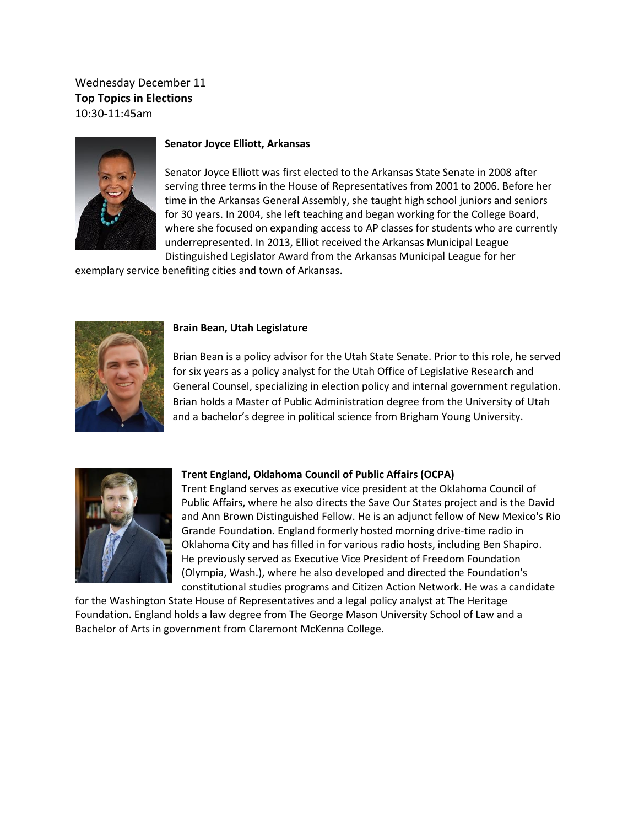Wednesday December 11 **Top Topics in Elections** 10:30-11:45am



### **Senator Joyce Elliott, Arkansas**

Senator Joyce Elliott was first elected to the Arkansas State Senate in 2008 after serving three terms in the House of Representatives from 2001 to 2006. Before her time in the Arkansas General Assembly, she taught high school juniors and seniors for 30 years. In 2004, she left teaching and began working for the College Board, where she focused on expanding access to AP classes for students who are currently underrepresented. In 2013, Elliot received the Arkansas Municipal League Distinguished Legislator Award from the Arkansas Municipal League for her

exemplary service benefiting cities and town of Arkansas.



#### **Brain Bean, Utah Legislature**

Brian Bean is a policy advisor for the Utah State Senate. Prior to this role, he served for six years as a policy analyst for the Utah Office of Legislative Research and General Counsel, specializing in election policy and internal government regulation. Brian holds a Master of Public Administration degree from the University of Utah and a bachelor's degree in political science from Brigham Young University.



#### **Trent England, Oklahoma Council of Public Affairs (OCPA)**

Trent England serves as executive vice president at the Oklahoma Council of Public Affairs, where he also directs the [Save Our States](http://www.saveourstates.com/) project and is the David and Ann Brown Distinguished Fellow. He is an adjunct fellow of New Mexico's [Rio](http://riograndefoundation.org/about-the-rio-grande-foundation/)  [Grande Foundation.](http://riograndefoundation.org/about-the-rio-grande-foundation/) England formerly hosted morning drive-time radio in Oklahoma City and has filled in for various radio hosts, including Ben Shapiro. He previously served as Executive Vice President of Freedom Foundation (Olympia, Wash.), where he also developed and directed the Foundation's constitutional studies programs and Citizen Action Network. He was a candidate

for the Washington State House of Representatives and a legal policy analyst at [The Heritage](http://www.heritage.org/)  [Foundation.](http://www.heritage.org/) England holds a law degree from The George Mason University School of Law and a Bachelor of Arts in government from Claremont McKenna College.